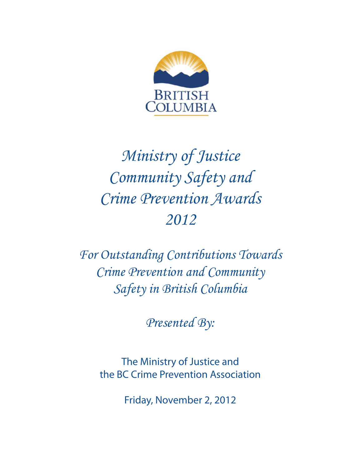

# *Ministry of Justice Community Safety and Crime Prevention Awards 2012*

*For Outstanding Contributions Towards Crime Prevention and Community Safety in British Columbia*

*Presented By:*

The Ministry of Justice and the BC Crime Prevention Association

Friday, November 2, 2012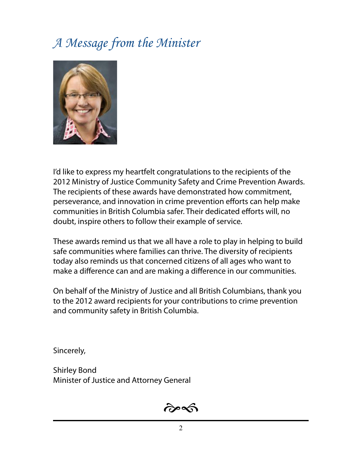# *A Message from the Minister*



I'd like to express my heartfelt congratulations to the recipients of the 2012 Ministry of Justice Community Safety and Crime Prevention Awards. The recipients of these awards have demonstrated how commitment, perseverance, and innovation in crime prevention efforts can help make communities in British Columbia safer. Their dedicated efforts will, no doubt, inspire others to follow their example of service.

These awards remind us that we all have a role to play in helping to build safe communities where families can thrive. The diversity of recipients today also reminds us that concerned citizens of all ages who want to make a difference can and are making a difference in our communities.

On behalf of the Ministry of Justice and all British Columbians, thank you to the 2012 award recipients for your contributions to crime prevention and community safety in British Columbia.

Sincerely,

Shirley Bond Minister of Justice and Attorney General

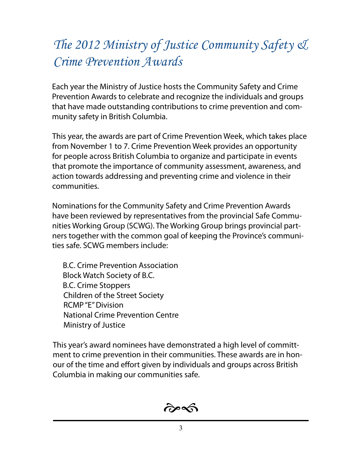# *The 2012 Ministry of Justice Community Safety & Crime Prevention Awards*

Each year the Ministry of Justice hosts the Community Safety and Crime Prevention Awards to celebrate and recognize the individuals and groups that have made outstanding contributions to crime prevention and community safety in British Columbia.

This year, the awards are part of Crime Prevention Week, which takes place from November 1 to 7. Crime Prevention Week provides an opportunity for people across British Columbia to organize and participate in events that promote the importance of community assessment, awareness, and action towards addressing and preventing crime and violence in their communities.

Nominations for the Community Safety and Crime Prevention Awards have been reviewed by representatives from the provincial Safe Communities Working Group (SCWG). The Working Group brings provincial partners together with the common goal of keeping the Province's communities safe. SCWG members include:

B.C. Crime Prevention Association Block Watch Society of B.C. B.C. Crime Stoppers Children of the Street Society RCMP "E" Division National Crime Prevention Centre Ministry of Justice

This year's award nominees have demonstrated a high level of committment to crime prevention in their communities. These awards are in honour of the time and effort given by individuals and groups across British Columbia in making our communities safe.

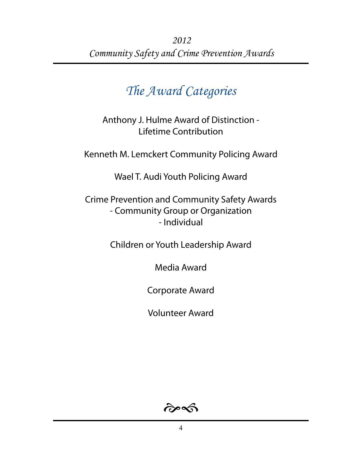### *The Award Categories*

Anthony J. Hulme Award of Distinction - Lifetime Contribution

Kenneth M. Lemckert Community Policing Award

Wael T. Audi Youth Policing Award

Crime Prevention and Community Safety Awards - Community Group or Organization - Individual

Children or Youth Leadership Award

Media Award

Corporate Award

Volunteer Award

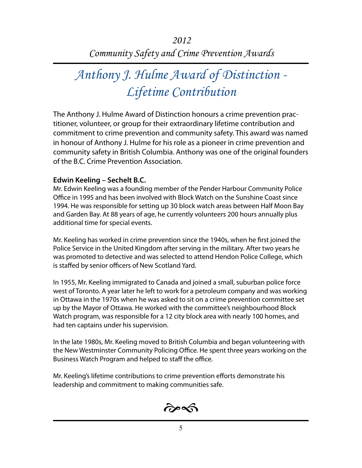# *Anthony J. Hulme Award of Distinction - Lifetime Contribution*

The Anthony J. Hulme Award of Distinction honours a crime prevention practitioner, volunteer, or group for their extraordinary lifetime contribution and commitment to crime prevention and community safety. This award was named in honour of Anthony J. Hulme for his role as a pioneer in crime prevention and community safety in British Columbia. Anthony was one of the original founders of the B.C. Crime Prevention Association.

#### **Edwin Keeling – Sechelt B.C.**

Mr. Edwin Keeling was a founding member of the Pender Harbour Community Police Office in 1995 and has been involved with Block Watch on the Sunshine Coast since 1994. He was responsible for setting up 30 block watch areas between Half Moon Bay and Garden Bay. At 88 years of age, he currently volunteers 200 hours annually plus additional time for special events.

Mr. Keeling has worked in crime prevention since the 1940s, when he first joined the Police Service in the United Kingdom after serving in the military. After two years he was promoted to detective and was selected to attend Hendon Police College, which is staffed by senior officers of New Scotland Yard.

In 1955, Mr. Keeling immigrated to Canada and joined a small, suburban police force west of Toronto. A year later he left to work for a petroleum company and was working in Ottawa in the 1970s when he was asked to sit on a crime prevention committee set up by the Mayor of Ottawa. He worked with the committee's neighbourhood Block Watch program, was responsible for a 12 city block area with nearly 100 homes, and had ten captains under his supervision.

In the late 1980s, Mr. Keeling moved to British Columbia and began volunteering with the New Westminster Community Policing Office. He spent three years working on the Business Watch Program and helped to staff the office.

Mr. Keeling's lifetime contributions to crime prevention efforts demonstrate his leadership and commitment to making communities safe.

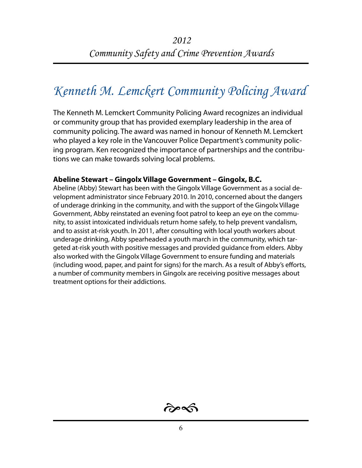### *Kenneth M. Lemckert Community Policing Award*

The Kenneth M. Lemckert Community Policing Award recognizes an individual or community group that has provided exemplary leadership in the area of community policing. The award was named in honour of Kenneth M. Lemckert who played a key role in the Vancouver Police Department's community policing program. Ken recognized the importance of partnerships and the contributions we can make towards solving local problems.

#### **Abeline Stewart – Gingolx Village Government – Gingolx, B.C.**

Abeline (Abby) Stewart has been with the Gingolx Village Government as a social development administrator since February 2010. In 2010, concerned about the dangers of underage drinking in the community, and with the support of the Gingolx Village Government, Abby reinstated an evening foot patrol to keep an eye on the community, to assist intoxicated individuals return home safely, to help prevent vandalism, and to assist at-risk youth. In 2011, after consulting with local youth workers about underage drinking, Abby spearheaded a youth march in the community, which targeted at-risk youth with positive messages and provided guidance from elders. Abby also worked with the Gingolx Village Government to ensure funding and materials (including wood, paper, and paint for signs) for the march. As a result of Abby's efforts, a number of community members in Gingolx are receiving positive messages about treatment options for their addictions.

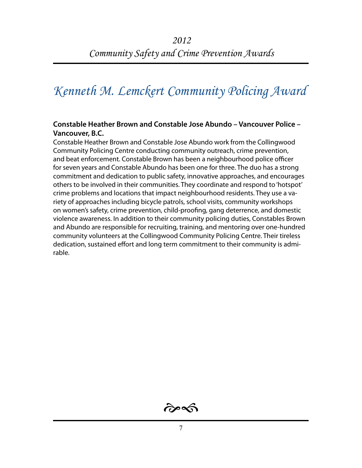### *Kenneth M. Lemckert Community Policing Award*

#### **Constable Heather Brown and Constable Jose Abundo – Vancouver Police – Vancouver, B.C.**

Constable Heather Brown and Constable Jose Abundo work from the Collingwood Community Policing Centre conducting community outreach, crime prevention, and beat enforcement. Constable Brown has been a neighbourhood police officer for seven years and Constable Abundo has been one for three. The duo has a strong commitment and dedication to public safety, innovative approaches, and encourages others to be involved in their communities. They coordinate and respond to 'hotspot' crime problems and locations that impact neighbourhood residents. They use a variety of approaches including bicycle patrols, school visits, community workshops on women's safety, crime prevention, child-proofing, gang deterrence, and domestic violence awareness. In addition to their community policing duties, Constables Brown and Abundo are responsible for recruiting, training, and mentoring over one-hundred community volunteers at the Collingwood Community Policing Centre. Their tireless dedication, sustained effort and long term commitment to their community is admirable.

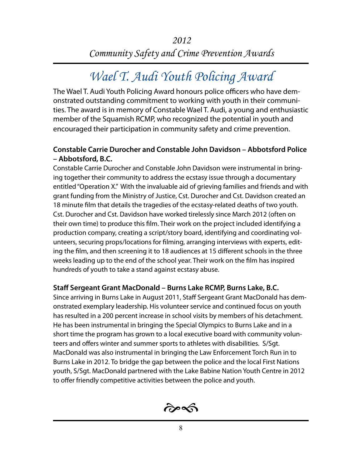## *Wael T. Audi Youth Policing Award*

The Wael T. Audi Youth Policing Award honours police officers who have demonstrated outstanding commitment to working with youth in their communities. The award is in memory of Constable Wael T. Audi, a young and enthusiastic member of the Squamish RCMP, who recognized the potential in youth and encouraged their participation in community safety and crime prevention.

#### **Constable Carrie Durocher and Constable John Davidson – Abbotsford Police – Abbotsford, B.C.**

Constable Carrie Durocher and Constable John Davidson were instrumental in bringing together their community to address the ecstasy issue through a documentary entitled "Operation X." With the invaluable aid of grieving families and friends and with grant funding from the Ministry of Justice, Cst. Durocher and Cst. Davidson created an 18 minute film that details the tragedies of the ecstasy-related deaths of two youth. Cst. Durocher and Cst. Davidson have worked tirelessly since March 2012 (often on their own time) to produce this film. Their work on the project included identifying a production company, creating a script/story board, identifying and coordinating volunteers, securing props/locations for filming, arranging interviews with experts, editing the film, and then screening it to 18 audiences at 15 different schools in the three weeks leading up to the end of the school year. Their work on the film has inspired hundreds of youth to take a stand against ecstasy abuse.

#### **Staff Sergeant Grant MacDonald – Burns Lake RCMP, Burns Lake, B.C.**

Since arriving in Burns Lake in August 2011, Staff Sergeant Grant MacDonald has demonstrated exemplary leadership. His volunteer service and continued focus on youth has resulted in a 200 percent increase in school visits by members of his detachment. He has been instrumental in bringing the Special Olympics to Burns Lake and in a short time the program has grown to a local executive board with community volunteers and offers winter and summer sports to athletes with disabilities. S/Sgt. MacDonald was also instrumental in bringing the Law Enforcement Torch Run in to Burns Lake in 2012. To bridge the gap between the police and the local First Nations youth, S/Sgt. MacDonald partnered with the Lake Babine Nation Youth Centre in 2012 to offer friendly competitive activities between the police and youth.

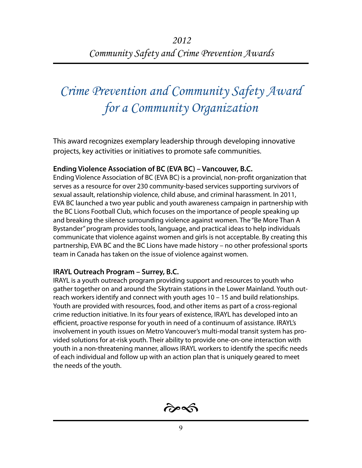# *Crime Prevention and Community Safety Award for a Community Organization*

This award recognizes exemplary leadership through developing innovative projects, key activities or initiatives to promote safe communities.

#### **Ending Violence Association of BC (EVA BC) – Vancouver, B.C.**

Ending Violence Association of BC (EVA BC) is a provincial, non-profit organization that serves as a resource for over 230 community-based services supporting survivors of sexual assault, relationship violence, child abuse, and criminal harassment. In 2011, EVA BC launched a two year public and youth awareness campaign in partnership with the BC Lions Football Club, which focuses on the importance of people speaking up and breaking the silence surrounding violence against women. The "Be More Than A Bystander" program provides tools, language, and practical ideas to help individuals communicate that violence against women and girls is not acceptable. By creating this partnership, EVA BC and the BC Lions have made history – no other professional sports team in Canada has taken on the issue of violence against women.

#### **IRAYL Outreach Program – Surrey, B.C.**

IRAYL is a youth outreach program providing support and resources to youth who gather together on and around the Skytrain stations in the Lower Mainland. Youth outreach workers identify and connect with youth ages 10 – 15 and build relationships. Youth are provided with resources, food, and other items as part of a cross-regional crime reduction initiative. In its four years of existence, IRAYL has developed into an efficient, proactive response for youth in need of a continuum of assistance. IRAYL's involvement in youth issues on Metro Vancouver's multi-modal transit system has provided solutions for at-risk youth. Their ability to provide one-on-one interaction with youth in a non-threatening manner, allows IRAYL workers to identify the specific needs of each individual and follow up with an action plan that is uniquely geared to meet the needs of the youth.

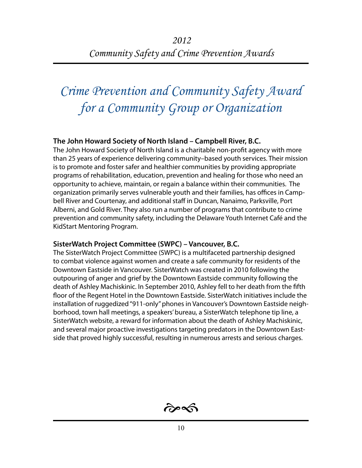# *Crime Prevention and Community Safety Award for a Community Group or Organization*

#### **The John Howard Society of North Island – Campbell River, B.C.**

The John Howard Society of North Island is a charitable non-profit agency with more than 25 years of experience delivering community–based youth services. Their mission is to promote and foster safer and healthier communities by providing appropriate programs of rehabilitation, education, prevention and healing for those who need an opportunity to achieve, maintain, or regain a balance within their communities. The organization primarily serves vulnerable youth and their families, has offices in Campbell River and Courtenay, and additional staff in Duncan, Nanaimo, Parksville, Port Alberni, and Gold River. They also run a number of programs that contribute to crime prevention and community safety, including the Delaware Youth Internet Café and the KidStart Mentoring Program.

#### **SisterWatch Project Committee (SWPC) – Vancouver, B.C.**

The SisterWatch Project Committee (SWPC) is a multifaceted partnership designed to combat violence against women and create a safe community for residents of the Downtown Eastside in Vancouver. SisterWatch was created in 2010 following the outpouring of anger and grief by the Downtown Eastside community following the death of Ashley Machiskinic. In September 2010, Ashley fell to her death from the fifth floor of the Regent Hotel in the Downtown Eastside. SisterWatch initiatives include the installation of ruggedized "911-only" phones in Vancouver's Downtown Eastside neighborhood, town hall meetings, a speakers' bureau, a SisterWatch telephone tip line, a SisterWatch website, a reward for information about the death of Ashley Machiskinic, and several major proactive investigations targeting predators in the Downtown Eastside that proved highly successful, resulting in numerous arrests and serious charges.

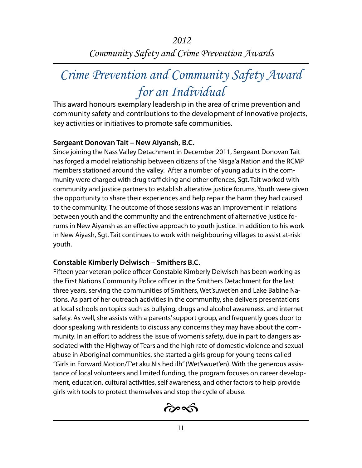## *Crime Prevention and Community Safety Award for an Individual*

This award honours exemplary leadership in the area of crime prevention and community safety and contributions to the development of innovative projects, key activities or initiatives to promote safe communities.

#### **Sergeant Donovan Tait – New Aiyansh, B.C.**

Since joining the Nass Valley Detachment in December 2011, Sergeant Donovan Tait has forged a model relationship between citizens of the Nisga'a Nation and the RCMP members stationed around the valley. After a number of young adults in the community were charged with drug trafficking and other offences, Sgt. Tait worked with community and justice partners to establish alterative justice forums. Youth were given the opportunity to share their experiences and help repair the harm they had caused to the community. The outcome of those sessions was an improvement in relations between youth and the community and the entrenchment of alternative justice forums in New Aiyansh as an effective approach to youth justice. In addition to his work in New Aiyash, Sgt. Tait continues to work with neighbouring villages to assist at-risk youth.

#### **Constable Kimberly Delwisch – Smithers B.C.**

Fifteen year veteran police officer Constable Kimberly Delwisch has been working as the First Nations Community Police officer in the Smithers Detachment for the last three years, serving the communities of Smithers, Wet'suwet'en and Lake Babine Nations. As part of her outreach activities in the community, she delivers presentations at local schools on topics such as bullying, drugs and alcohol awareness, and internet safety. As well, she assists with a parents' support group, and frequently goes door to door speaking with residents to discuss any concerns they may have about the community. In an effort to address the issue of women's safety, due in part to dangers associated with the Highway of Tears and the high rate of domestic violence and sexual abuse in Aboriginal communities, she started a girls group for young teens called "Girls in Forward Motion/T'et aku Nis hed ilh" (Wet'swuet'en). With the generous assistance of local volunteers and limited funding, the program focuses on career development, education, cultural activities, self awareness, and other factors to help provide girls with tools to protect themselves and stop the cycle of abuse.

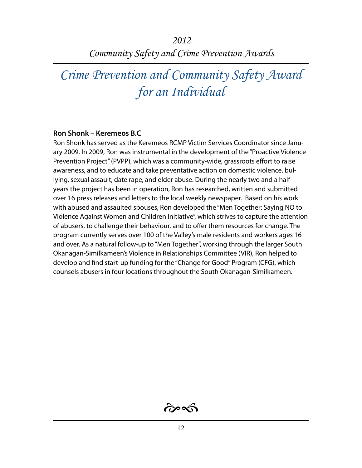*2012 Community Safety and Crime Prevention Awards* 

*Crime Prevention and Community Safety Award for an Individual*

#### **Ron Shonk – Keremeos B.C**

Ron Shonk has served as the Keremeos RCMP Victim Services Coordinator since January 2009. In 2009, Ron was instrumental in the development of the "Proactive Violence Prevention Project" (PVPP), which was a community-wide, grassroots effort to raise awareness, and to educate and take preventative action on domestic violence, bullying, sexual assault, date rape, and elder abuse. During the nearly two and a half years the project has been in operation, Ron has researched, written and submitted over 16 press releases and letters to the local weekly newspaper. Based on his work with abused and assaulted spouses, Ron developed the "Men Together: Saying NO to Violence Against Women and Children Initiative", which strives to capture the attention of abusers, to challenge their behaviour, and to offer them resources for change. The program currently serves over 100 of the Valley's male residents and workers ages 16 and over. As a natural follow-up to "Men Together", working through the larger South Okanagan-Similkameen's Violence in Relationships Committee (VIR), Ron helped to develop and find start-up funding for the "Change for Good" Program (CFG), which counsels abusers in four locations throughout the South Okanagan-Similkameen.

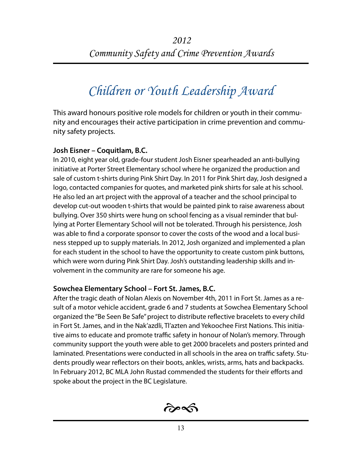# *Children or Youth Leadership Award*

This award honours positive role models for children or youth in their community and encourages their active participation in crime prevention and community safety projects.

#### **Josh Eisner – Coquitlam, B.C.**

In 2010, eight year old, grade-four student Josh Eisner spearheaded an anti-bullying initiative at Porter Street Elementary school where he organized the production and sale of custom t-shirts during Pink Shirt Day. In 2011 for Pink Shirt day, Josh designed a logo, contacted companies for quotes, and marketed pink shirts for sale at his school. He also led an art project with the approval of a teacher and the school principal to develop cut-out wooden t-shirts that would be painted pink to raise awareness about bullying. Over 350 shirts were hung on school fencing as a visual reminder that bullying at Porter Elementary School will not be tolerated. Through his persistence, Josh was able to find a corporate sponsor to cover the costs of the wood and a local business stepped up to supply materials. In 2012, Josh organized and implemented a plan for each student in the school to have the opportunity to create custom pink buttons, which were worn during Pink Shirt Day. Josh's outstanding leadership skills and involvement in the community are rare for someone his age.

#### **Sowchea Elementary School – Fort St. James, B.C.**

After the tragic death of Nolan Alexis on November 4th, 2011 in Fort St. James as a result of a motor vehicle accident, grade 6 and 7 students at Sowchea Elementary School organized the "Be Seen Be Safe" project to distribute reflective bracelets to every child in Fort St. James, and in the Nak'azdli, Tl'azten and Yekoochee First Nations. This initiative aims to educate and promote traffic safety in honour of Nolan's memory. Through community support the youth were able to get 2000 bracelets and posters printed and laminated. Presentations were conducted in all schools in the area on traffic safety. Students proudly wear reflectors on their boots, ankles, wrists, arms, hats and backpacks. In February 2012, BC MLA John Rustad commended the students for their efforts and spoke about the project in the BC Legislature.

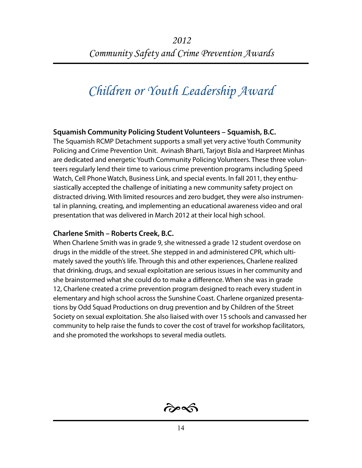# *Children or Youth Leadership Award*

#### **Squamish Community Policing Student Volunteers – Squamish, B.C.**

The Squamish RCMP Detachment supports a small yet very active Youth Community Policing and Crime Prevention Unit. Avinash Bharti, Tarjoyt Bisla and Harpreet Minhas are dedicated and energetic Youth Community Policing Volunteers. These three volunteers regularly lend their time to various crime prevention programs including Speed Watch, Cell Phone Watch, Business Link, and special events. In fall 2011, they enthusiastically accepted the challenge of initiating a new community safety project on distracted driving. With limited resources and zero budget, they were also instrumental in planning, creating, and implementing an educational awareness video and oral presentation that was delivered in March 2012 at their local high school.

#### **Charlene Smith – Roberts Creek, B.C.**

When Charlene Smith was in grade 9, she witnessed a grade 12 student overdose on drugs in the middle of the street. She stepped in and administered CPR, which ultimately saved the youth's life. Through this and other experiences, Charlene realized that drinking, drugs, and sexual exploitation are serious issues in her community and she brainstormed what she could do to make a difference. When she was in grade 12, Charlene created a crime prevention program designed to reach every student in elementary and high school across the Sunshine Coast. Charlene organized presentations by Odd Squad Productions on drug prevention and by Children of the Street Society on sexual exploitation. She also liaised with over 15 schools and canvassed her community to help raise the funds to cover the cost of travel for workshop facilitators, and she promoted the workshops to several media outlets.

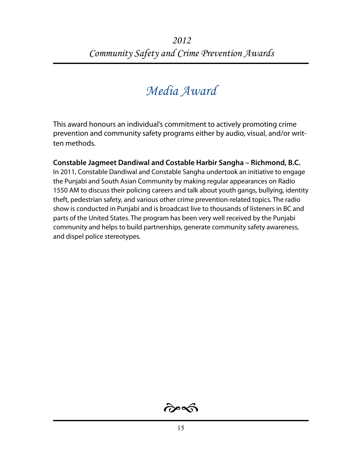### *Media Award*

This award honours an individual's commitment to actively promoting crime prevention and community safety programs either by audio, visual, and/or written methods.

**Constable Jagmeet Dandiwal and Costable Harbir Sangha – Richmond, B.C.** In 2011, Constable Dandiwal and Constable Sangha undertook an initiative to engage the Punjabi and South Asian Community by making regular appearances on Radio 1550 AM to discuss their policing careers and talk about youth gangs, bullying, identity theft, pedestrian safety, and various other crime prevention-related topics. The radio show is conducted in Punjabi and is broadcast live to thousands of listeners in BC and parts of the United States. The program has been very well received by the Punjabi community and helps to build partnerships, generate community safety awareness, and dispel police stereotypes.

 $\hat{\sigma}$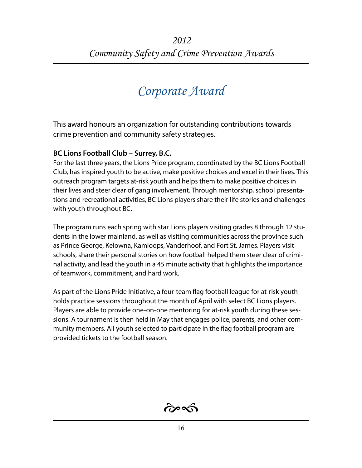### *Corporate Award*

This award honours an organization for outstanding contributions towards crime prevention and community safety strategies.

#### **BC Lions Football Club – Surrey, B.C.**

For the last three years, the Lions Pride program, coordinated by the BC Lions Football Club, has inspired youth to be active, make positive choices and excel in their lives. This outreach program targets at-risk youth and helps them to make positive choices in their lives and steer clear of gang involvement. Through mentorship, school presentations and recreational activities, BC Lions players share their life stories and challenges with youth throughout BC.

The program runs each spring with star Lions players visiting grades 8 through 12 students in the lower mainland, as well as visiting communities across the province such as Prince George, Kelowna, Kamloops, Vanderhoof, and Fort St. James. Players visit schools, share their personal stories on how football helped them steer clear of criminal activity, and lead the youth in a 45 minute activity that highlights the importance of teamwork, commitment, and hard work.

As part of the Lions Pride Initiative, a four-team flag football league for at-risk youth holds practice sessions throughout the month of April with select BC Lions players. Players are able to provide one-on-one mentoring for at-risk youth during these sessions. A tournament is then held in May that engages police, parents, and other community members. All youth selected to participate in the flag football program are provided tickets to the football season.

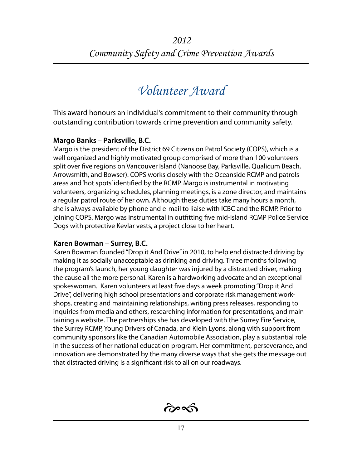### *Volunteer Award*

This award honours an individual's commitment to their community through outstanding contribution towards crime prevention and community safety.

#### **Margo Banks – Parksville, B.C.**

Margo is the president of the District 69 Citizens on Patrol Society (COPS), which is a well organized and highly motivated group comprised of more than 100 volunteers split over five regions on Vancouver Island (Nanoose Bay, Parksville, Qualicum Beach, Arrowsmith, and Bowser). COPS works closely with the Oceanside RCMP and patrols areas and 'hot spots' identified by the RCMP. Margo is instrumental in motivating volunteers, organizing schedules, planning meetings, is a zone director, and maintains a regular patrol route of her own. Although these duties take many hours a month, she is always available by phone and e-mail to liaise with ICBC and the RCMP. Prior to joining COPS, Margo was instrumental in outfitting five mid-island RCMP Police Service Dogs with protective Kevlar vests, a project close to her heart.

#### **Karen Bowman – Surrey, B.C.**

Karen Bowman founded "Drop it And Drive" in 2010, to help end distracted driving by making it as socially unacceptable as drinking and driving. Three months following the program's launch, her young daughter was injured by a distracted driver, making the cause all the more personal. Karen is a hardworking advocate and an exceptional spokeswoman. Karen volunteers at least five days a week promoting "Drop it And Drive", delivering high school presentations and corporate risk management workshops, creating and maintaining relationships, writing press releases, responding to inquiries from media and others, researching information for presentations, and maintaining a website. The partnerships she has developed with the Surrey Fire Service, the Surrey RCMP, Young Drivers of Canada, and Klein Lyons, along with support from community sponsors like the Canadian Automobile Association, play a substantial role in the success of her national education program. Her commitment, perseverance, and innovation are demonstrated by the many diverse ways that she gets the message out that distracted driving is a significant risk to all on our roadways.